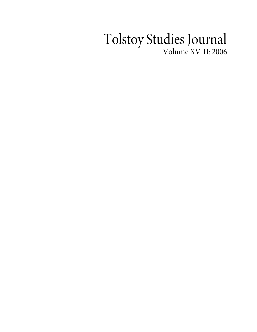## Tolstoy Studies Journal Volume XVIII: 2006